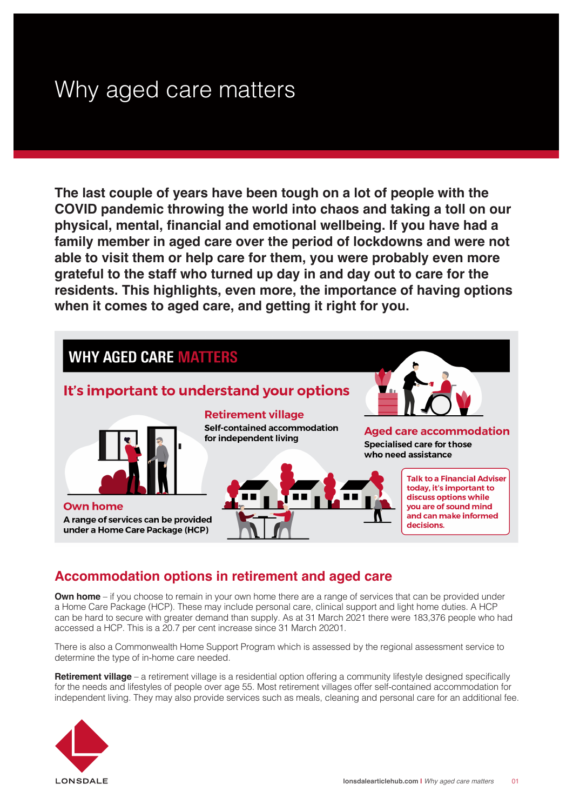# Why aged care matters

**The last couple of years have been tough on a lot of people with the COVID pandemic throwing the world into chaos and taking a toll on our physical, mental, financial and emotional wellbeing. If you have had a family member in aged care over the period of lockdowns and were not able to visit them or help care for them, you were probably even more grateful to the staff who turned up day in and day out to care for the residents. This highlights, even more, the importance of having options when it comes to aged care, and getting it right for you.**



## **Accommodation options in retirement and aged care**

**Own home** – if you choose to remain in your own home there are a range of services that can be provided under a Home Care Package (HCP). These may include personal care, clinical support and light home duties. A HCP can be hard to secure with greater demand than supply. As at 31 March 2021 there were 183,376 people who had accessed a HCP. This is a 20.7 per cent increase since 31 March 20201.

There is also a Commonwealth Home Support Program which is assessed by the regional assessment service to determine the type of in-home care needed.

**Retirement village** – a retirement village is a residential option offering a community lifestyle designed specifically for the needs and lifestyles of people over age 55. Most retirement villages offer self-contained accommodation for independent living. They may also provide services such as meals, cleaning and personal care for an additional fee.